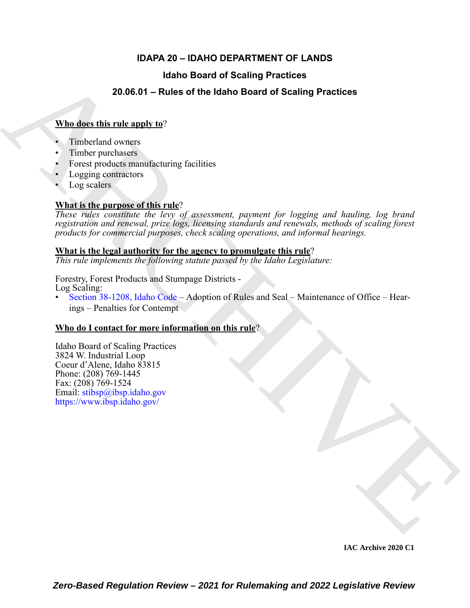### **IDAPA 20 – IDAHO DEPARTMENT OF LANDS**

### **Idaho Board of Scaling Practices**

### **20.06.01 – Rules of the Idaho Board of Scaling Practices**

### **Who does this rule apply to**?

- Timberland owners
- Timber purchasers
- Forest products manufacturing facilities
- Logging contractors
- Log scalers

### **What is the purpose of this rule**?

**Example 20.06.01** – Rules of the Idaho Board of Scaling Practices<br> **When direct this rules only to:**<br>
7. Timbuland owners:<br>
7. Timbuland owners:<br>
1. Timbuland owners:<br>
1. Figure products manufacturing ficilities<br>
1. Log *These rules constitute the levy of assessment, payment for logging and hauling, log brand registration and renewal, prize logs, licensing standards and renewals, methods of scaling forest products for commercial purposes, check scaling operations, and informal hearings.*

### **What is the legal authority for the agency to promulgate this rule**?

*This rule implements the following statute passed by the Idaho Legislature:*

Forestry, Forest Products and Stumpage Districts - Log Scaling:

• Section 38-1208, Idaho Code – Adoption of Rules and Seal – Maintenance of Office – Hearings – Penalties for Contempt

### **Who do I contact for more information on this rule**?

Idaho Board of Scaling Practices 3824 W. Industrial Loop Coeur d'Alene, Idaho 83815 Phone: (208) 769-1445 Fax: (208) 769-1524 Email:  $\frac{\sinh(\theta)}{\sinh(\theta)}$  stibsp.idaho.gov https://www.ibsp.idaho.gov/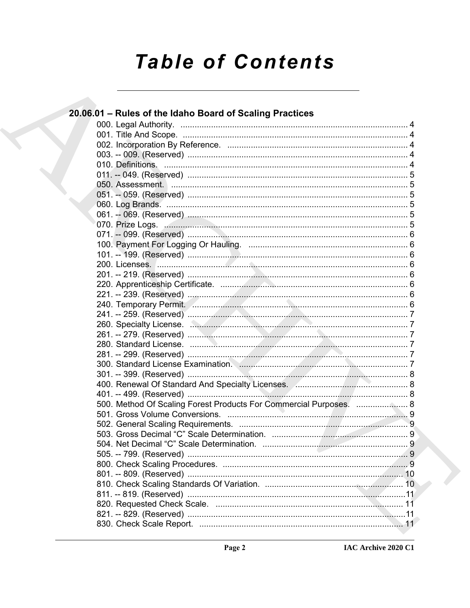# **Table of Contents**

| 20.06.01 - Rules of the Idaho Board of Scaling Practices           |  |
|--------------------------------------------------------------------|--|
|                                                                    |  |
|                                                                    |  |
|                                                                    |  |
|                                                                    |  |
|                                                                    |  |
|                                                                    |  |
|                                                                    |  |
|                                                                    |  |
|                                                                    |  |
|                                                                    |  |
|                                                                    |  |
|                                                                    |  |
|                                                                    |  |
|                                                                    |  |
|                                                                    |  |
|                                                                    |  |
|                                                                    |  |
|                                                                    |  |
|                                                                    |  |
|                                                                    |  |
|                                                                    |  |
|                                                                    |  |
|                                                                    |  |
|                                                                    |  |
|                                                                    |  |
|                                                                    |  |
|                                                                    |  |
| 500. Method Of Scaling Forest Products For Commercial Purposes.  8 |  |
|                                                                    |  |
|                                                                    |  |
|                                                                    |  |
|                                                                    |  |
|                                                                    |  |
|                                                                    |  |
|                                                                    |  |
|                                                                    |  |
|                                                                    |  |
|                                                                    |  |
|                                                                    |  |
|                                                                    |  |
|                                                                    |  |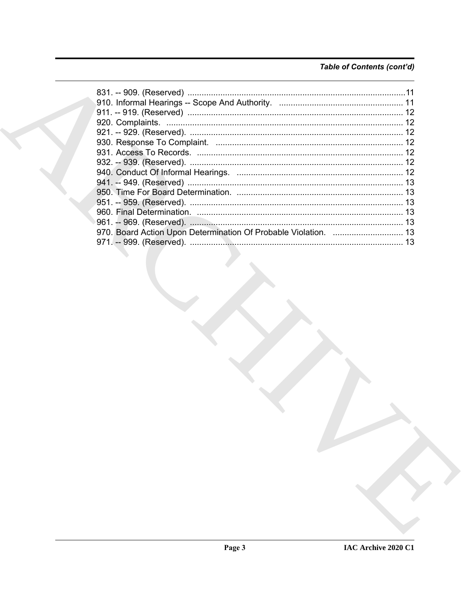### Table of Contents (cont'd)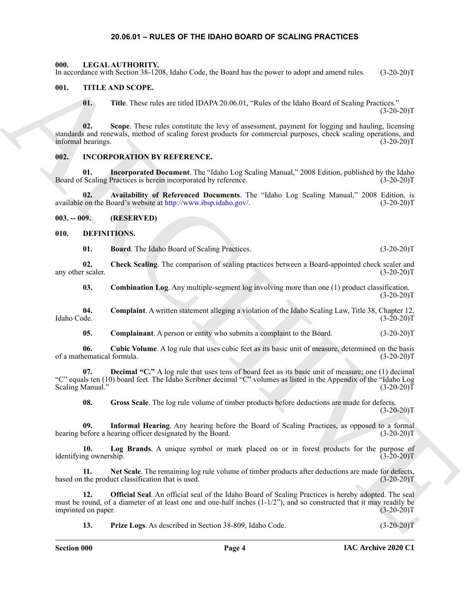### **20.06.01 – RULES OF THE IDAHO BOARD OF SCALING PRACTICES**

<span id="page-3-21"></span><span id="page-3-1"></span><span id="page-3-0"></span>**000. LEGAL AUTHORITY.**

In accordance with Section 38-1208, Idaho Code, the Board has the power to adopt and amend rules. (3-20-20)T

### <span id="page-3-2"></span>**001. TITLE AND SCOPE.**

<span id="page-3-22"></span>**01. Title**. These rules are titled IDAPA 20.06.01, "Rules of the Idaho Board of Scaling Practices."  $(3-20-20)T$ 

La convelation in the Society S-1202, below Cost, the board las the proved to about an angular study. (15-20-20)<br>
(I). This AND SCOPE.<br>
(I). The Treas where errice (1753-Po. 2005) and the convertise of the Calab Found of **02. Scope**. These rules constitute the levy of assessment, payment for logging and hauling, licensing standards and renewals, method of scaling forest products for commercial purposes, check scaling operations, and informal hearings. (3-20-20)T

### <span id="page-3-20"></span><span id="page-3-3"></span>**002. INCORPORATION BY REFERENCE.**

**01. Incorporated Document**. The "Idaho Log Scaling Manual," 2008 Edition, published by the Idaho Board of Scaling Practices is herein incorporated by reference. (3-20-20)T

**02.** Availability of Referenced Documents. The "Idaho Log Scaling Manual," 2008 Edition, is on the Board's website at http://www.ibsp.idaho.gov/. (3-20-20) available on the Board's website at http://www.ibsp.idaho.gov/.

<span id="page-3-4"></span>**003. -- 009. (RESERVED)**

### <span id="page-3-5"></span>**010. DEFINITIONS.**

<span id="page-3-8"></span><span id="page-3-7"></span><span id="page-3-6"></span>**01. Board**. The Idaho Board of Scaling Practices. (3-20-20)T

**02.** Check Scaling. The comparison of scaling practices between a Board-appointed check scaler and r scaler. (3-20-20) any other scaler.

<span id="page-3-11"></span><span id="page-3-9"></span>**03.** Combination Log. Any multiple-segment log involving more than one (1) product classification.  $(3-20-20)T$ 

**04. Complaint**. A written statement alleging a violation of the Idaho Scaling Law, Title 38, Chapter 12, Idaho Code. (3-20-20)T

<span id="page-3-13"></span><span id="page-3-12"></span><span id="page-3-10"></span>**05.** Complainant. A person or entity who submits a complaint to the Board.  $(3-20-20)T$ 

**06. Cubic Volume**. A log rule that uses cubic feet as its basic unit of measure, determined on the basis of a mathematical formula. (3-20-20)T

**07. Decimal "C."** A log rule that uses tens of board feet as its basic unit of measure; one (1) decimal "C" equals ten (10) board feet. The Idaho Scribner decimal "C" volumes as listed in the Appendix of the "Idaho Log Scaling Manual."

<span id="page-3-16"></span><span id="page-3-15"></span><span id="page-3-14"></span>**08. Gross Scale**. The log rule volume of timber products before deductions are made for defects.  $(3-20-20)T$ 

**09. Informal Hearing**. Any hearing before the Board of Scaling Practices, as opposed to a formal hearing before a hearing officer designated by the Board. (3-20-20)T

**10.** Log Brands. A unique symbol or mark placed on or in forest products for the purpose of ng ownership. (3-20-20) identifying ownership.

<span id="page-3-17"></span>**11. Net Scale**. The remaining log rule volume of timber products after deductions are made for defects, based on the product classification that is used. (3-20-20)T

**12. Official Seal**. An official seal of the Idaho Board of Scaling Practices is hereby adopted. The seal must be round, of a diameter of at least one and one-half inches  $(1-1/2)$ , and so constructed that it may readily be imprinted on paper. (3-20-20)T

<span id="page-3-19"></span><span id="page-3-18"></span>**13. Prize Logs**. As described in Section 38-809, Idaho Code. (3-20-20)T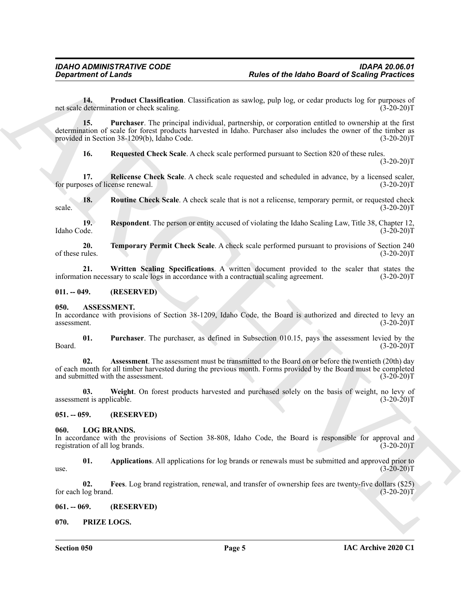<span id="page-4-10"></span>**14. Product Classification**. Classification as sawlog, pulp log, or cedar products log for purposes of net scale determination or check scaling. (3-20-20)T

**Experiment of Leading Constraints**<br> **Experiment of Leading Constraints**<br>
Leading Constraint and constraints as socket poly log, or excite probable log log properties<br>
and the second of the Constraint Constraints and the **15. Purchaser**. The principal individual, partnership, or corporation entitled to ownership at the first determination of scale for forest products harvested in Idaho. Purchaser also includes the owner of the timber as provided in Section 38-1209(b), Idaho Code. (3-20-20) provided in Section 38-1209(b), Idaho Code.

<span id="page-4-15"></span><span id="page-4-13"></span><span id="page-4-12"></span><span id="page-4-11"></span>**16. Requested Check Scale**. A check scale performed pursuant to Section 820 of these rules.  $(3-20-20)T$ 

**17.** Relicense Check Scale. A check scale requested and scheduled in advance, by a licensed scaler, oses of license renewal. (3-20-20)<sup>T</sup> for purposes of license renewal.

**18.** Routine Check Scale. A check scale that is not a relicense, temporary permit, or requested check (3-20-20)  $scale.$  (3-20-20)T

<span id="page-4-14"></span>**19. Respondent**. The person or entity accused of violating the Idaho Scaling Law, Title 38, Chapter 12, Idaho Code. (3-20-20)T

<span id="page-4-16"></span>**20. 20. Temporary Permit Check Scale**. A check scale performed pursuant to provisions of Section 240 of these rules. (3-20-20)T of these rules.  $(3-20-20)T$ 

<span id="page-4-17"></span>**21. Written Scaling Specifications**. A written document provided to the scaler that states the information necessary to scale logs in accordance with a contractual scaling agreement. (3-20-20)T

### <span id="page-4-0"></span>**011. -- 049. (RESERVED)**

### <span id="page-4-6"></span><span id="page-4-1"></span>**050. ASSESSMENT.**

In accordance with provisions of Section 38-1209, Idaho Code, the Board is authorized and directed to levy an assessment. (3-20-20)T assessment. (3-20-20)T

<span id="page-4-8"></span>**01. Purchaser**. The purchaser, as defined in Subsection 010.15, pays the assessment levied by the Board. (3-20-20)T

<span id="page-4-7"></span>**02. Assessment**. The assessment must be transmitted to the Board on or before the twentieth (20th) day of each month for all timber harvested during the previous month. Forms provided by the Board must be completed and submitted with the assessment. (3-20-20)T

<span id="page-4-9"></span>**03.** Weight. On forest products harvested and purchased solely on the basis of weight, no levy of ent is applicable. (3-20-20) assessment is applicable.

<span id="page-4-2"></span>**051. -- 059. (RESERVED)**

### <span id="page-4-18"></span><span id="page-4-3"></span>**060. LOG BRANDS.**

In accordance with the provisions of Section 38-808, Idaho Code, the Board is responsible for approval and registration of all log brands. (3-20-20)T

<span id="page-4-19"></span>**01.** Applications. All applications for log brands or renewals must be submitted and approved prior to (3-20-20) use.  $(3-20-20)T$ 

<span id="page-4-20"></span>**02. Fees**. Log brand registration, renewal, and transfer of ownership fees are twenty-five dollars (\$25) for each log brand. (3-20-20)T

<span id="page-4-4"></span>**061. -- 069. (RESERVED)**

<span id="page-4-21"></span><span id="page-4-5"></span>**070. PRIZE LOGS.**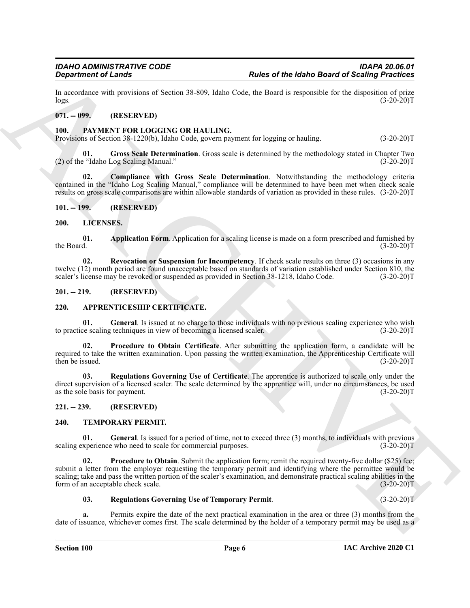In accordance with provisions of Section 38-809, Idaho Code, the Board is responsible for the disposition of prize logs. (3-20-20)  $\log s$ . (3-20-20)T

### <span id="page-5-0"></span>**071. -- 099. (RESERVED)**

### <span id="page-5-16"></span><span id="page-5-1"></span>**100. PAYMENT FOR LOGGING OR HAULING.**

Provisions of Section 38-1220(b), Idaho Code, govern payment for logging or hauling. (3-20-20)T

<span id="page-5-12"></span>**01. Gross Scale Determination**. Gross scale is determined by the methodology stated in Chapter Two (2) of the "Idaho Log Scaling Manual."  $(3-20-20)T$ 

<span id="page-5-17"></span>**02. Compliance with Gross Scale Determination**. Notwithstanding the methodology criteria contained in the "Idaho Log Scaling Manual," compliance will be determined to have been met when check scale results on gross scale comparisons are within allowable standards of variation as provided in these rules. (3-20-20)T

### <span id="page-5-2"></span>**101. -- 199. (RESERVED)**

### <span id="page-5-13"></span><span id="page-5-3"></span>**200. LICENSES.**

<span id="page-5-14"></span>**01.** Application Form. Application for a scaling license is made on a form prescribed and furnished by the Board. (3-20-20) the Board.  $(3-20-20)T$ 

<span id="page-5-15"></span>**02. Revocation or Suspension for Incompetency**. If check scale results on three (3) occasions in any twelve (12) month period are found unacceptable based on standards of variation established under Section 810, the scaler's license may be revoked or suspended as provided in Section 38-1218, Idaho Code. (3-20-20)T

### <span id="page-5-4"></span>**201. -- 219. (RESERVED)**

### <span id="page-5-8"></span><span id="page-5-5"></span>**220. APPRENTICESHIP CERTIFICATE.**

<span id="page-5-9"></span>**01.** General. Is issued at no charge to those individuals with no previous scaling experience who wish ce scaling techniques in view of becoming a licensed scaler. (3-20-20) to practice scaling techniques in view of becoming a licensed scaler.

<span id="page-5-10"></span>**02. Procedure to Obtain Certificate**. After submitting the application form, a candidate will be required to take the written examination. Upon passing the written examination, the Apprenticeship Certificate will then be issued. (3-20-20)T

<span id="page-5-11"></span>**03. Regulations Governing Use of Certificate**. The apprentice is authorized to scale only under the direct supervision of a licensed scaler. The scale determined by the apprentice will, under no circumstances, be used as the sole basis for payment. (3-20-20)T as the sole basis for payment.

### <span id="page-5-6"></span>**221. -- 239. (RESERVED)**

### <span id="page-5-18"></span><span id="page-5-7"></span>**240. TEMPORARY PERMIT.**

<span id="page-5-19"></span>**01. General**. Is issued for a period of time, not to exceed three (3) months, to individuals with previous scaling experience who need to scale for commercial purposes. (3-20-20)T

**Experiment of Leads Constraints of Active 19-50**<br>
La mondent of Leads of Website 19-500, lablo Cove, the Board is composite in the disposition of Scaling Priorities<br>
La mondent of Experiment (Fig. 1992).<br>
The constraint **02. Procedure to Obtain**. Submit the application form; remit the required twenty-five dollar (\$25) fee; submit a letter from the employer requesting the temporary permit and identifying where the permittee would be scaling; take and pass the written portion of the scaler's examination, and demonstrate practical scaling abilities in the form of an acceptable check scale. (3-20-20)T

### <span id="page-5-21"></span><span id="page-5-20"></span>**03. Regulations Governing Use of Temporary Permit**. (3-20-20)T

**a.** Permits expire the date of the next practical examination in the area or three (3) months from the date of issuance, whichever comes first. The scale determined by the holder of a temporary permit may be used as a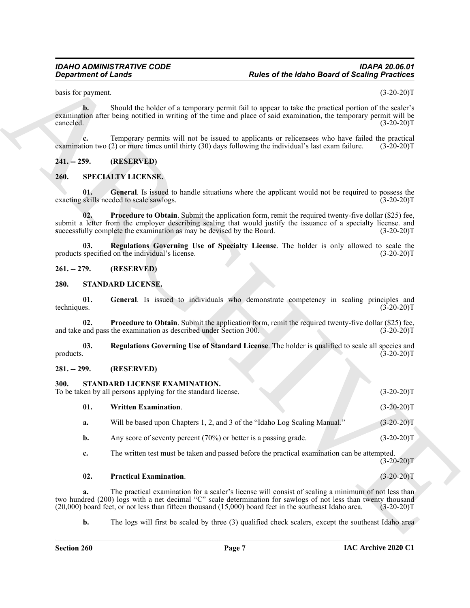basis for payment. (3-20-20)T

**b.** Should the holder of a temporary permit fail to appear to take the practical portion of the scaler's examination after being notified in writing of the time and place of said examination, the temporary permit will be canceled. (3-20-20)  $\text{canceled.} \tag{3-20-20}$ 

**c.** Temporary permits will not be issued to applicants or relicensees who have failed the practical tion two (2) or more times until thirty (30) days following the individual's last exam failure. (3-20-20)T examination two  $(2)$  or more times until thirty  $(30)$  days following the individual's last exam failure.

### <span id="page-6-0"></span>**241. -- 259. (RESERVED)**

### <span id="page-6-7"></span><span id="page-6-6"></span><span id="page-6-1"></span>**260. SPECIALTY LICENSE.**

**01. General**. Is issued to handle situations where the applicant would not be required to possess the exacting skills needed to scale sawlogs. (3-20-20)T

<span id="page-6-8"></span>**02. Procedure to Obtain**. Submit the application form, remit the required twenty-five dollar (\$25) fee, submit a letter from the employer describing scaling that would justify the issuance of a specialty license. and **s**uccessfully complete the examination as may be devised by the Board. (3-20-20)T

<span id="page-6-9"></span>**03. Regulations Governing Use of Specialty License**. The holder is only allowed to scale the specified on the individual's license. (3-20-20)<sup>T</sup> products specified on the individual's license.

### <span id="page-6-2"></span>**261. -- 279. (RESERVED)**

### <span id="page-6-10"></span><span id="page-6-3"></span>**280. STANDARD LICENSE.**

<span id="page-6-11"></span>**01.** General. Is issued to individuals who demonstrate competency in scaling principles and techniques. (3-20-20)T techniques.  $(3\text{-}20\text{-}20)T$ 

<span id="page-6-12"></span>**02. Procedure to Obtain**. Submit the application form, remit the required twenty-five dollar (\$25) fee, and pass the examination as described under Section 300. (3-20-20)<sup>T</sup> and take and pass the examination as described under Section 300.

<span id="page-6-13"></span>**03.** Regulations Governing Use of Standard License. The holder is qualified to scale all species and products. (3-20-20)T products. (3-20-20)T

### <span id="page-6-14"></span><span id="page-6-5"></span><span id="page-6-4"></span>**281. -- 299. (RESERVED)**

# **Experiment of Leads Constraints of the Male Board of Scaling Processor<br>
Strain Board of Male State of Accounts of the Constraints of the United States of the State of the State<br>
constraints and the Male State of the Stat 300. STANDARD LICENSE EXAMINATION.** To be taken by all persons applying for the standard license. (3-20-20)T **01. Written Examination**. (3-20-20)T **a.** Will be based upon Chapters 1, 2, and 3 of the "Idaho Log Scaling Manual." (3-20-20)T **b.** Any score of seventy percent (70%) or better is a passing grade. (3-20-20)T **c.** The written test must be taken and passed before the practical examination can be attempted.  $(3-20-20)T$

<span id="page-6-16"></span>

### <span id="page-6-15"></span>**02. Practical Examination**. (3-20-20)T

**a.** The practical examination for a scaler's license will consist of scaling a minimum of not less than two hundred (200) logs with a net decimal "C" scale determination for sawlogs of not less than twenty thousand (20,000) board feet, or not less than fifteen thousand (15,000) board feet in the southeast Idaho area. (3-20-2  $(20,000)$  board feet, or not less than fifteen thousand  $(15,000)$  board feet in the southeast Idaho area.

**b.** The logs will first be scaled by three (3) qualified check scalers, except the southeast Idaho area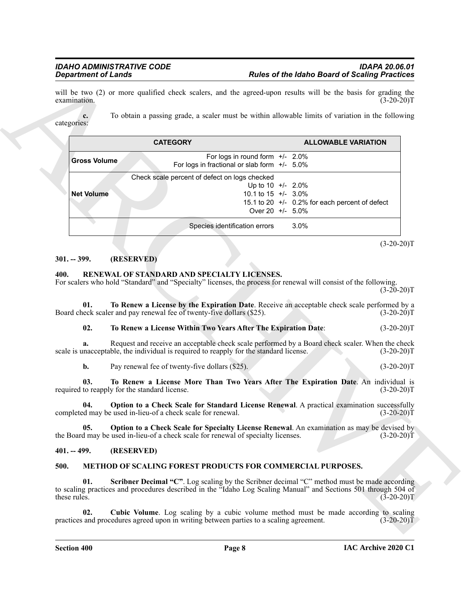|                       | <b>Department of Lands</b>                                                                                                                                                                                                                                     | <b>Rules of the Idaho Board of Scaling Practices</b>                                                            |                                                              |
|-----------------------|----------------------------------------------------------------------------------------------------------------------------------------------------------------------------------------------------------------------------------------------------------------|-----------------------------------------------------------------------------------------------------------------|--------------------------------------------------------------|
| examination.          | will be two (2) or more qualified check scalers, and the agreed-upon results will be the basis for grading the                                                                                                                                                 |                                                                                                                 | $(3-20-20)T$                                                 |
| c.<br>categories:     | To obtain a passing grade, a scaler must be within allowable limits of variation in the following                                                                                                                                                              |                                                                                                                 |                                                              |
|                       | <b>CATEGORY</b>                                                                                                                                                                                                                                                | <b>ALLOWABLE VARIATION</b>                                                                                      |                                                              |
| <b>Gross Volume</b>   | For logs in round form +/- 2.0%<br>For logs in fractional or slab form $+/-$ 5.0%                                                                                                                                                                              |                                                                                                                 |                                                              |
| <b>Net Volume</b>     | Check scale percent of defect on logs checked                                                                                                                                                                                                                  | Up to $10 + 2.0\%$<br>10.1 to 15 +/- 3.0%<br>15.1 to 20 +/- 0.2% for each percent of defect<br>Over 20 +/- 5.0% |                                                              |
|                       | Species identification errors                                                                                                                                                                                                                                  | 3.0%                                                                                                            |                                                              |
| $301. - 399.$         | (RESERVED)                                                                                                                                                                                                                                                     |                                                                                                                 | $(3-20-20)T$                                                 |
| 400.<br>01.           | RENEWAL OF STANDARD AND SPECIALTY LICENSES.<br>For scalers who hold "Standard" and "Specialty" licenses, the process for renewal will consist of the following.<br>To Renew a License by the Expiration Date. Receive an acceptable check scale performed by a |                                                                                                                 | $(3-20-20)T$                                                 |
|                       | Board check scaler and pay renewal fee of twenty-five dollars (\$25).                                                                                                                                                                                          |                                                                                                                 | $(3-20-20)T$                                                 |
| 02.                   | To Renew a License Within Two Years After The Expiration Date:                                                                                                                                                                                                 |                                                                                                                 | $(3-20-20)T$                                                 |
| а.                    | Request and receive an acceptable check scale performed by a Board check scaler. When the check<br>scale is unacceptable, the individual is required to reapply for the standard license.                                                                      |                                                                                                                 | $(3-20-20)T$                                                 |
|                       |                                                                                                                                                                                                                                                                |                                                                                                                 |                                                              |
| b.                    | Pay renewal fee of twenty-five dollars (\$25).                                                                                                                                                                                                                 |                                                                                                                 |                                                              |
| 03.                   | To Renew a License More Than Two Years After The Expiration Date. An individual is<br>required to reapply for the standard license.                                                                                                                            |                                                                                                                 |                                                              |
| 04.                   | Option to a Check Scale for Standard License Renewal. A practical examination successfully<br>completed may be used in-lieu-of a check scale for renewal.                                                                                                      | the contract of the contract of the contract of the contract of                                                 |                                                              |
| 05.                   | Option to a Check Scale for Specialty License Renewal. An examination as may be devised by<br>the Board may be used in-lieu-of a check scale for renewal of specialty licenses.                                                                                |                                                                                                                 |                                                              |
|                       | (RESERVED)                                                                                                                                                                                                                                                     |                                                                                                                 | $(3-20-20)T$<br>$(3-20-20)T$<br>$(3-20-20)T$<br>$(3-20-20)T$ |
| $401. - 499.$<br>500. | METHOD OF SCALING FOREST PRODUCTS FOR COMMERCIAL PURPOSES.                                                                                                                                                                                                     |                                                                                                                 |                                                              |
| 01.<br>these rules.   | <b>Scribner Decimal "C".</b> Log scaling by the Scribner decimal "C" method must be made according<br>to scaling practices and procedures described in the "Idaho Log Scaling Manual" and Sections 501 through 504 of                                          |                                                                                                                 | $(3-20-20)$ T                                                |

### <span id="page-7-0"></span>**301. -- 399. (RESERVED)**

### <span id="page-7-7"></span><span id="page-7-1"></span>**400. RENEWAL OF STANDARD AND SPECIALTY LICENSES.**

### <span id="page-7-12"></span><span id="page-7-11"></span><span id="page-7-10"></span><span id="page-7-9"></span>**02. To Renew a License Within Two Years After The Expiration Date**: (3-20-20)T

### <span id="page-7-8"></span><span id="page-7-2"></span>**401. -- 499. (RESERVED)**

### <span id="page-7-6"></span><span id="page-7-5"></span><span id="page-7-4"></span><span id="page-7-3"></span>**500. METHOD OF SCALING FOREST PRODUCTS FOR COMMERCIAL PURPOSES.**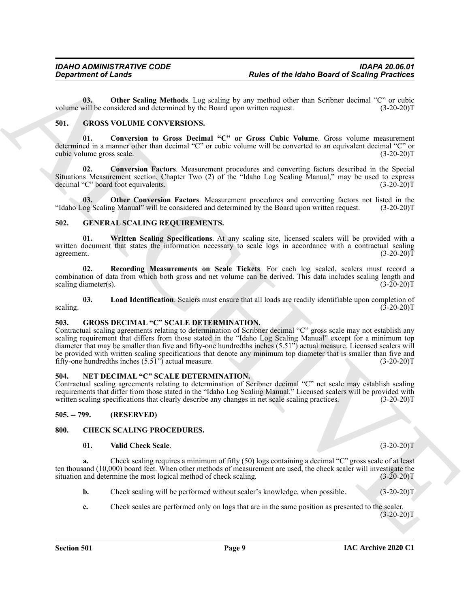<span id="page-8-17"></span>**03.** Other Scaling Methods. Log scaling by any method other than Scribner decimal "C" or cubic volume will be considered and determined by the Board upon written request. (3-20-20)T

### <span id="page-8-13"></span><span id="page-8-0"></span>**501. GROSS VOLUME CONVERSIONS.**

<span id="page-8-15"></span>**01. Conversion to Gross Decimal "C" or Gross Cubic Volume**. Gross volume measurement determined in a manner other than decimal "C" or cubic volume will be converted to an equivalent decimal "C" or cubic volume gross scale. (3-20-20)T

<span id="page-8-14"></span>**02. Conversion Factors**. Measurement procedures and converting factors described in the Special Situations Measurement section, Chapter Two (2) of the "Idaho Log Scaling Manual," may be used to express decimal "C" board foot equivalents. (3-20-20) decimal "C" board foot equivalents.

<span id="page-8-16"></span>**03.** Other Conversion Factors. Measurement procedures and converting factors not listed in the og Scaling Manual" will be considered and determined by the Board upon written request. (3-20-20)T "Idaho Log Scaling Manual" will be considered and determined by the Board upon written request.

### <span id="page-8-8"></span><span id="page-8-1"></span>**502. GENERAL SCALING REQUIREMENTS.**

<span id="page-8-11"></span>**01. Written Scaling Specifications**. At any scaling site, licensed scalers will be provided with a written document that states the information necessary to scale logs in accordance with a contractual scaling agreement. (3-20-20) agreement.  $(3-20-20)T$ 

<span id="page-8-10"></span>**02. Recording Measurements on Scale Tickets**. For each log scaled, scalers must record a combination of data from which both gross and net volume can be derived. This data includes scaling length and scaling diameter(s). scaling diameter(s).

<span id="page-8-9"></span>**03.** Load Identification. Scalers must ensure that all loads are readily identifiable upon completion of  $(3-20-20)T$ scaling.  $(3-20-20)T$ 

### <span id="page-8-12"></span><span id="page-8-2"></span>**503. GROSS DECIMAL "C" SCALE DETERMINATION.**

For the Idea of Action Section 14.1 For the Idea of Action Section 4 Scaling Processes<br>
Volume will be concerned by the box to section cluster due to sell and the section concerned by the section of the Section 14.1 For t Contractual scaling agreements relating to determination of Scribner decimal "C" gross scale may not establish any scaling requirement that differs from those stated in the "Idaho Log Scaling Manual" except for a minimum top diameter that may be smaller than five and fifty-one hundredths inches (5.51") actual measure. Licensed scalers will be provided with written scaling specifications that denote any minimum top diameter that is smaller than five and fifty-one hundredths inches (5.51") actual measure. (3-20-20)T

### <span id="page-8-18"></span><span id="page-8-3"></span>**504. NET DECIMAL "C" SCALE DETERMINATION.**

Contractual scaling agreements relating to determination of Scribner decimal "C" net scale may establish scaling requirements that differ from those stated in the "Idaho Log Scaling Manual." Licensed scalers will be provided with written scaling specifications that clearly describe any changes in net scale scaling practices. (3-20-20)T

<span id="page-8-4"></span>**505. -- 799. (RESERVED)**

### <span id="page-8-5"></span>**800. CHECK SCALING PROCEDURES.**

### <span id="page-8-7"></span><span id="page-8-6"></span>**01. Valid Check Scale**. (3-20-20)T

**a.** Check scaling requires a minimum of fifty (50) logs containing a decimal "C" gross scale of at least ten thousand (10,000) board feet. When other methods of measurement are used, the check scaler will investigate the situation and determine the most logical method of check scaling. (3-20-20) situation and determine the most logical method of check scaling.

- **b.** Check scaling will be performed without scaler's knowledge, when possible. (3-20-20)T
- **c.** Check scales are performed only on logs that are in the same position as presented to the scaler.  $(3-20-20)T$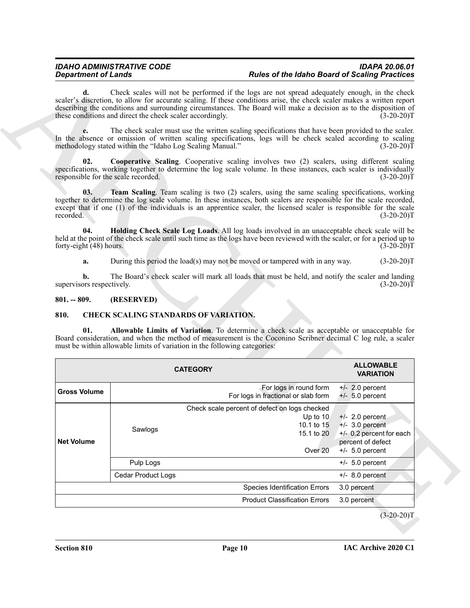### <span id="page-9-2"></span>*IDAHO ADMINISTRATIVE CODE IDAPA 20.06.01 Rules of the Idaho Board of Scaling Practices*

### <span id="page-9-4"></span><span id="page-9-3"></span><span id="page-9-0"></span>**801. -- 809. (RESERVED)**

### <span id="page-9-6"></span><span id="page-9-5"></span><span id="page-9-1"></span>**810. CHECK SCALING STANDARDS OF VARIATION.**

| d.                                         | Check scales will not be performed if the logs are not spread adequately enough, in the check<br>scaler's discretion, to allow for accurate scaling. If these conditions arise, the check scaler makes a written report<br>describing the conditions and surrounding circumstances. The Board will make a decision as to the disposition of<br>these conditions and direct the check scaler accordingly. | $(3-20-20)T$                                                                            |
|--------------------------------------------|----------------------------------------------------------------------------------------------------------------------------------------------------------------------------------------------------------------------------------------------------------------------------------------------------------------------------------------------------------------------------------------------------------|-----------------------------------------------------------------------------------------|
| e.                                         | The check scaler must use the written scaling specifications that have been provided to the scaler.<br>In the absence or omission of written scaling specifications, logs will be check scaled according to scaling<br>methodology stated within the "Idaho Log Scaling Manual."                                                                                                                         | $(3-20-20)T$                                                                            |
| 02.<br>responsible for the scale recorded. | Cooperative Scaling. Cooperative scaling involves two (2) scalers, using different scaling<br>specifications, working together to determine the log scale volume. In these instances, each scaler is individually                                                                                                                                                                                        | $(3-20-20)T$                                                                            |
| 03.<br>recorded.                           | Team Scaling. Team scaling is two (2) scalers, using the same scaling specifications, working<br>together to determine the log scale volume. In these instances, both scalers are responsible for the scale recorded,<br>except that if one (1) of the individuals is an apprentice scaler, the licensed scaler is responsible for the scale                                                             | $(3-20-20)T$                                                                            |
| 04.<br>forty-eight (48) hours.             | Holding Check Scale Log Loads. All log loads involved in an unacceptable check scale will be<br>held at the point of the check scale until such time as the logs have been reviewed with the scaler, or for a period up to                                                                                                                                                                               | $(3-20-20)T$                                                                            |
| a.                                         | During this period the load(s) may not be moved or tampered with in any way.                                                                                                                                                                                                                                                                                                                             | $(3-20-20)T$                                                                            |
|                                            | The Board's check scaler will mark all loads that must be held, and notify the scaler and landing                                                                                                                                                                                                                                                                                                        |                                                                                         |
| b.<br>supervisors respectively.            |                                                                                                                                                                                                                                                                                                                                                                                                          | $(3-20-20)T$                                                                            |
| $801. - 809.$                              | (RESERVED)                                                                                                                                                                                                                                                                                                                                                                                               |                                                                                         |
| 810.                                       | <b>CHECK SCALING STANDARDS OF VARIATION.</b>                                                                                                                                                                                                                                                                                                                                                             |                                                                                         |
| 01.                                        | Allowable Limits of Variation. To determine a check scale as acceptable or unacceptable for<br>Board consideration, and when the method of measurement is the Coconino Scribner decimal C log rule, a scaler<br>must be within allowable limits of variation in the following categories:<br><b>CATEGORY</b>                                                                                             | <b>ALLOWABLE</b><br><b>VARIATION</b>                                                    |
| <b>Gross Volume</b>                        | For logs in round form<br>For logs in fractional or slab form                                                                                                                                                                                                                                                                                                                                            | $+/- 2.0$ percent<br>$+/- 5.0$ percent                                                  |
| <b>Net Volume</b>                          | Check scale percent of defect on logs checked<br>Up to 10<br>10.1 to 15<br>Sawlogs<br>15.1 to 20<br>Over <sub>20</sub>                                                                                                                                                                                                                                                                                   | $+/-$ 2.0 percent<br>$+/-$ 3.0 percent<br>+/- 0.2 percent for each<br>percent of defect |
|                                            | Pulp Logs                                                                                                                                                                                                                                                                                                                                                                                                | $+/- 5.0$ percent<br>$+/- 5.0$ percent                                                  |
|                                            | Cedar Product Logs                                                                                                                                                                                                                                                                                                                                                                                       | $+/-$ 8.0 percent                                                                       |
|                                            | Species Identification Errors                                                                                                                                                                                                                                                                                                                                                                            | 3.0 percent                                                                             |
|                                            | <b>Product Classification Errors</b>                                                                                                                                                                                                                                                                                                                                                                     | 3.0 percent                                                                             |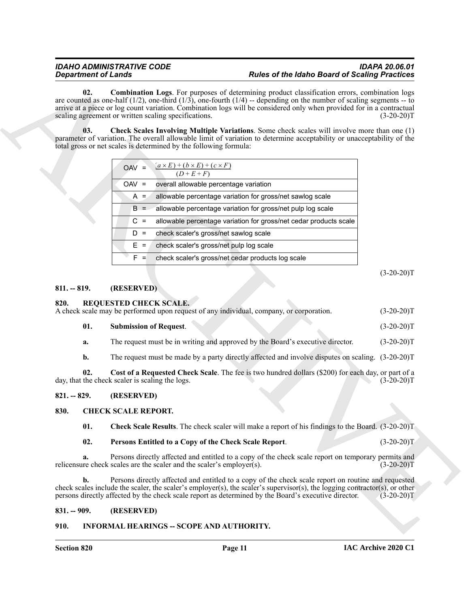### <span id="page-10-10"></span><span id="page-10-9"></span>*IDAHO ADMINISTRATIVE CODE IDAPA 20.06.01 Rules of the Idaho Board of Scaling Practices*

| <b>Department of Lands</b> |                                                                                                                          | <b>Rules of the Idaho Board of Scaling Practices</b>                                                                                                                                                                                                                                                                                                   |              |
|----------------------------|--------------------------------------------------------------------------------------------------------------------------|--------------------------------------------------------------------------------------------------------------------------------------------------------------------------------------------------------------------------------------------------------------------------------------------------------------------------------------------------------|--------------|
| 02.                        | scaling agreement or written scaling specifications.                                                                     | <b>Combination Logs.</b> For purposes of determining product classification errors, combination logs<br>are counted as one-half (1/2), one-third (1/3), one-fourth (1/4) -- depending on the number of scaling segments -- to<br>arrive at a piece or log count variation. Combination logs will be considered only when provided for in a contractual | $(3-20-20)T$ |
| 03.                        | total gross or net scales is determined by the following formula:                                                        | <b>Check Scales Involving Multiple Variations.</b> Some check scales will involve more than one (1)<br>parameter of variation. The overall allowable limit of variation to determine acceptability or unacceptability of the                                                                                                                           |              |
|                            | $(a \times E) + (b \times E) + (c \times F)$<br>$OAV =$<br>$(D+E+F)$                                                     |                                                                                                                                                                                                                                                                                                                                                        |              |
|                            | overall allowable percentage variation<br>$OAV =$                                                                        |                                                                                                                                                                                                                                                                                                                                                        |              |
|                            | $A =$                                                                                                                    | allowable percentage variation for gross/net sawlog scale                                                                                                                                                                                                                                                                                              |              |
|                            | $B =$                                                                                                                    | allowable percentage variation for gross/net pulp log scale                                                                                                                                                                                                                                                                                            |              |
|                            | $C =$                                                                                                                    | allowable percentage variation for gross/net cedar products scale                                                                                                                                                                                                                                                                                      |              |
|                            | $D =$<br>check scaler's gross/net sawlog scale                                                                           |                                                                                                                                                                                                                                                                                                                                                        |              |
|                            | $E =$<br>check scaler's gross/net pulp log scale                                                                         |                                                                                                                                                                                                                                                                                                                                                        |              |
|                            | $F =$                                                                                                                    | check scaler's gross/net cedar products log scale                                                                                                                                                                                                                                                                                                      |              |
|                            |                                                                                                                          |                                                                                                                                                                                                                                                                                                                                                        | $(3-20-20)T$ |
| $811. - 819.$              | (RESERVED)                                                                                                               |                                                                                                                                                                                                                                                                                                                                                        |              |
| 820.                       | <b>REQUESTED CHECK SCALE.</b><br>A check scale may be performed upon request of any individual, company, or corporation. |                                                                                                                                                                                                                                                                                                                                                        | $(3-20-20)T$ |
| 01.                        | <b>Submission of Request.</b>                                                                                            |                                                                                                                                                                                                                                                                                                                                                        | $(3-20-20)T$ |
| a.                         |                                                                                                                          | The request must be in writing and approved by the Board's executive director.                                                                                                                                                                                                                                                                         | $(3-20-20)T$ |
| b.                         |                                                                                                                          | The request must be made by a party directly affected and involve disputes on scaling. (3-20-20)T                                                                                                                                                                                                                                                      |              |
| 02.                        | day, that the check scaler is scaling the logs.                                                                          | Cost of a Requested Check Scale. The fee is two hundred dollars (\$200) for each day, or part of a                                                                                                                                                                                                                                                     | $(3-20-20)T$ |
| $821. - 829.$              | (RESERVED)                                                                                                               |                                                                                                                                                                                                                                                                                                                                                        |              |
| 830.                       | <b>CHECK SCALE REPORT.</b>                                                                                               |                                                                                                                                                                                                                                                                                                                                                        |              |
| 01.                        |                                                                                                                          | Check Scale Results. The check scaler will make a report of his findings to the Board. (3-20-20)T                                                                                                                                                                                                                                                      |              |
| 02.                        | Persons Entitled to a Copy of the Check Scale Report.                                                                    |                                                                                                                                                                                                                                                                                                                                                        | $(3-20-20)T$ |
| a.                         | relicensure check scales are the scaler and the scaler's employer(s).                                                    | Persons directly affected and entitled to a copy of the check scale report on temporary permits and                                                                                                                                                                                                                                                    | $(3-20-20)T$ |
| b.                         |                                                                                                                          | Persons directly affected and entitled to a copy of the check scale report on routine and requested<br>check scales include the scaler, the scaler's employer(s), the scaler's supervisor(s), the logging contractor(s), or other<br>persons directly affected by the check scale report as determined by the Board's executive director.              | $(3-20-20)T$ |
| $831. - 909.$              | (RESERVED)                                                                                                               |                                                                                                                                                                                                                                                                                                                                                        |              |
|                            |                                                                                                                          |                                                                                                                                                                                                                                                                                                                                                        |              |

### <span id="page-10-0"></span>**811. -- 819. (RESERVED)**

<span id="page-10-14"></span><span id="page-10-12"></span><span id="page-10-1"></span>

| 820. | <b>REQUESTED CHECK SCALE.</b><br>A check scale may be performed upon request of any individual, company, or corporation. | $(3-20-20)T$ |
|------|--------------------------------------------------------------------------------------------------------------------------|--------------|
| 01.  | <b>Submission of Request.</b>                                                                                            | $(3-20-20)T$ |
| a.   | The request must be in writing and approved by the Board's executive director.                                           | $(3-20-20)T$ |

### <span id="page-10-13"></span><span id="page-10-2"></span>**821. -- 829. (RESERVED)**

### <span id="page-10-6"></span><span id="page-10-3"></span>**830. CHECK SCALE REPORT.**

### <span id="page-10-8"></span><span id="page-10-7"></span>**02. Persons Entitled to a Copy of the Check Scale Report**. (3-20-20)T

### <span id="page-10-4"></span>**831. -- 909. (RESERVED)**

### <span id="page-10-11"></span><span id="page-10-5"></span>**910. INFORMAL HEARINGS -- SCOPE AND AUTHORITY.**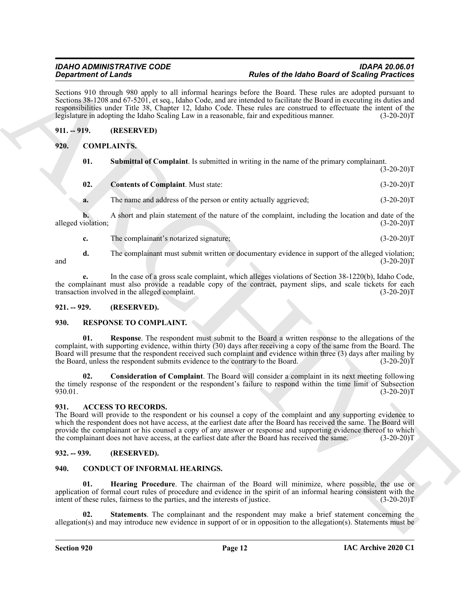Sections 910 through 980 apply to all informal hearings before the Board. These rules are adopted pursuant to Sections 38-1208 and 67-5201, et seq., Idaho Code, and are intended to facilitate the Board in executing its duties and responsibilities under Title 38, Chapter 12, Idaho Code. These rules are construed to effectuate the intent of the legislature in adopting the Idaho Scaling Law in a reasonable, fair and expeditious manner. (3-20-20)T

### <span id="page-11-0"></span>**911. -- 919. (RESERVED)**

### <span id="page-11-1"></span>**920. COMPLAINTS.**

<span id="page-11-10"></span><span id="page-11-8"></span>**01. Submittal of Complaint**. Is submitted in writing in the name of the primary complainant.  $(3-20-20)T$ 

<span id="page-11-9"></span>

| 02.<br><b>Contents of Complaint.</b> Must state: | $(3-20-20)T$ |
|--------------------------------------------------|--------------|
|--------------------------------------------------|--------------|

**a.** The name and address of the person or entity actually aggrieved; (3-20-20)T

**b.** A short and plain statement of the nature of the complaint, including the location and date of the alleged violation; (3-20-20)T

**c.** The complainant's notarized signature; (3-20-20)T

**d.** The complainant must submit written or documentary evidence in support of the alleged violation;<br>(3-20-20)T and  $(3-20-20)T$ **e.** In the case of a gross scale complaint, which alleges violations of Section 38-1220(b), Idaho Code,

the complainant must also provide a readable copy of the contract, payment slips, and scale tickets for each transaction involved in the alleged complaint. (3-20-20)T

### <span id="page-11-2"></span>**921. -- 929. (RESERVED).**

### <span id="page-11-16"></span><span id="page-11-14"></span><span id="page-11-3"></span>**930. RESPONSE TO COMPLAINT.**

**Experimental Constraints of the state of the label of the constraints and Experimental Science of the state of Science of Science of Science of Science of Science of Science of Science of Science of Science of Science of 01. Response**. The respondent must submit to the Board a written response to the allegations of the complaint, with supporting evidence, within thirty (30) days after receiving a copy of the same from the Board. The Board will presume that the respondent received such complaint and evidence within three (3) days after mailing by the Board, unless the respondent submits evidence to the contrary to the Board. (3-20-20)T

<span id="page-11-15"></span>**02. Consideration of Complaint**. The Board will consider a complaint in its next meeting following the timely response of the respondent or the respondent's failure to respond within the time limit of Subsection 930.01.<br>(3-20-20)T  $930.01.$  (3-20-20)T

### <span id="page-11-7"></span><span id="page-11-4"></span>**931. ACCESS TO RECORDS.**

The Board will provide to the respondent or his counsel a copy of the complaint and any supporting evidence to which the respondent does not have access, at the earliest date after the Board has received the same. The Board will provide the complainant or his counsel a copy of any answer or response and supporting evidence thereof to which<br>the complainant does not have access, at the earliest date after the Board has received the same. (3-20-20)T the complainant does not have access, at the earliest date after the Board has received the same.

### <span id="page-11-5"></span>**932. -- 939. (RESERVED).**

### <span id="page-11-11"></span><span id="page-11-6"></span>**940. CONDUCT OF INFORMAL HEARINGS.**

<span id="page-11-12"></span>**Hearing Procedure**. The chairman of the Board will minimize, where possible, the use or application of formal court rules of procedure and evidence in the spirit of an informal hearing consistent with the intent of these rules, fairness to the parties, and the interests of justice. (3-20-20)T

<span id="page-11-13"></span>**02. Statements**. The complainant and the respondent may make a brief statement concerning the allegation(s) and may introduce new evidence in support of or in opposition to the allegation(s). Statements must be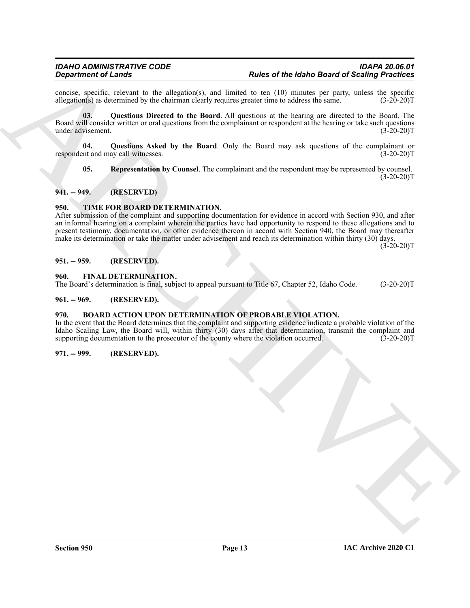concise, specific, relevant to the allegation(s), and limited to ten  $(10)$  minutes per party, unless the specific allegation(s) as determined by the chairman clearly requires greater time to address the same.  $(3-20-20)$ allegation $(s)$  as determined by the chairman clearly requires greater time to address the same.

<span id="page-12-9"></span>**03. Questions Directed to the Board**. All questions at the hearing are directed to the Board. The Board will consider written or oral questions from the complainant or respondent at the hearing or take such questions under advisement. (3-20-20)T

**04. Questions Asked by the Board**. Only the Board may ask questions of the complainant or respondent and may call witnesses. (3-20-20)T

<span id="page-12-10"></span><span id="page-12-8"></span>**05. Representation by Counsel**. The complainant and the respondent may be represented by counsel.  $(3-20-20)T$ 

### <span id="page-12-0"></span>**941. -- 949. (RESERVED)**

### <span id="page-12-12"></span><span id="page-12-1"></span>**950. TIME FOR BOARD DETERMINATION.**

**Expansion of Lineary Section 16.** The behavior of the based of Behavior Section 20. Section 20. The control of the state of the state of the state of the state of the state of the state of the state of the state of the s After submission of the complaint and supporting documentation for evidence in accord with Section 930, and after an informal hearing on a complaint wherein the parties have had opportunity to respond to these allegations and to present testimony, documentation, or other evidence thereon in accord with Section 940, the Board may thereafter make its determination or take the matter under advisement and reach its determination within thirty (30) days.

 $(3-20-20)T$ 

### <span id="page-12-2"></span>**951. -- 959. (RESERVED).**

### <span id="page-12-11"></span><span id="page-12-3"></span>**960. FINAL DETERMINATION.**

The Board's determination is final, subject to appeal pursuant to Title 67, Chapter 52, Idaho Code. (3-20-20)T

### <span id="page-12-4"></span>**961. -- 969. (RESERVED).**

### <span id="page-12-7"></span><span id="page-12-5"></span>**970. BOARD ACTION UPON DETERMINATION OF PROBABLE VIOLATION.**

In the event that the Board determines that the complaint and supporting evidence indicate a probable violation of the Idaho Scaling Law, the Board will, within thirty (30) days after that determination, transmit the complaint and supporting documentation to the prosecutor of the county where the violation occurred. (3-20-20)T

### <span id="page-12-6"></span>**971. -- 999. (RESERVED).**